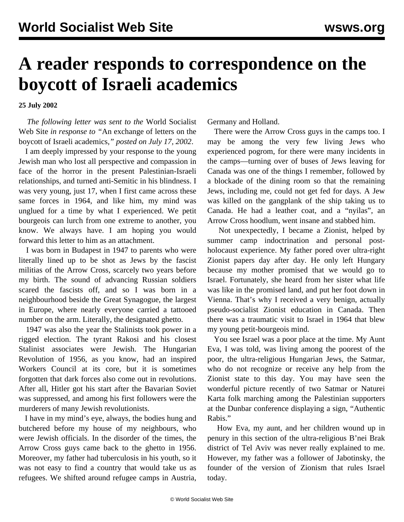## **A reader responds to correspondence on the boycott of Israeli academics**

**25 July 2002**

 *The following letter was sent to the* World Socialist Web Site *in response to "*[An exchange of letters on the](boyc-j17.shtml) [boycott of Israeli academics](boyc-j17.shtml)*," posted on July 17, 2002*.

 I am deeply impressed by your response to the young Jewish man who lost all perspective and compassion in face of the horror in the present Palestinian-Israeli relationships, and turned anti-Semitic in his blindness. I was very young, just 17, when I first came across these same forces in 1964, and like him, my mind was unglued for a time by what I experienced. We petit bourgeois can lurch from one extreme to another, you know. We always have. I am hoping you would forward this letter to him as an attachment.

 I was born in Budapest in 1947 to parents who were literally lined up to be shot as Jews by the fascist militias of the Arrow Cross, scarcely two years before my birth. The sound of advancing Russian soldiers scared the fascists off, and so I was born in a neighbourhood beside the Great Synagogue, the largest in Europe, where nearly everyone carried a tattooed number on the arm. Literally, the designated ghetto.

 1947 was also the year the Stalinists took power in a rigged election. The tyrant Rakosi and his closest Stalinist associates were Jewish. The Hungarian Revolution of 1956, as you know, had an inspired Workers Council at its core, but it is sometimes forgotten that dark forces also come out in revolutions. After all, Hitler got his start after the Bavarian Soviet was suppressed, and among his first followers were the murderers of many Jewish revolutionists.

 I have in my mind's eye, always, the bodies hung and butchered before my house of my neighbours, who were Jewish officials. In the disorder of the times, the Arrow Cross guys came back to the ghetto in 1956. Moreover, my father had tuberculosis in his youth, so it was not easy to find a country that would take us as refugees. We shifted around refugee camps in Austria,

Germany and Holland.

 There were the Arrow Cross guys in the camps too. I may be among the very few living Jews who experienced pogrom, for there were many incidents in the camps—turning over of buses of Jews leaving for Canada was one of the things I remember, followed by a blockade of the dining room so that the remaining Jews, including me, could not get fed for days. A Jew was killed on the gangplank of the ship taking us to Canada. He had a leather coat, and a "nyilas", an Arrow Cross hoodlum, went insane and stabbed him.

 Not unexpectedly, I became a Zionist, helped by summer camp indoctrination and personal postholocaust experience. My father pored over ultra-right Zionist papers day after day. He only left Hungary because my mother promised that we would go to Israel. Fortunately, she heard from her sister what life was like in the promised land, and put her foot down in Vienna. That's why I received a very benign, actually pseudo-socialist Zionist education in Canada. Then there was a traumatic visit to Israel in 1964 that blew my young petit-bourgeois mind.

 You see Israel was a poor place at the time. My Aunt Eva, I was told, was living among the poorest of the poor, the ultra-religious Hungarian Jews, the Satmar, who do not recognize or receive any help from the Zionist state to this day. You may have seen the wonderful picture recently of two Satmar or Naturei Karta folk marching among the Palestinian supporters at the Dunbar conference displaying a sign, "Authentic Rabis."

 How Eva, my aunt, and her children wound up in penury in this section of the ultra-religious B'nei Brak district of Tel Aviv was never really explained to me. However, my father was a follower of Jabotinsky, the founder of the version of Zionism that rules Israel today.